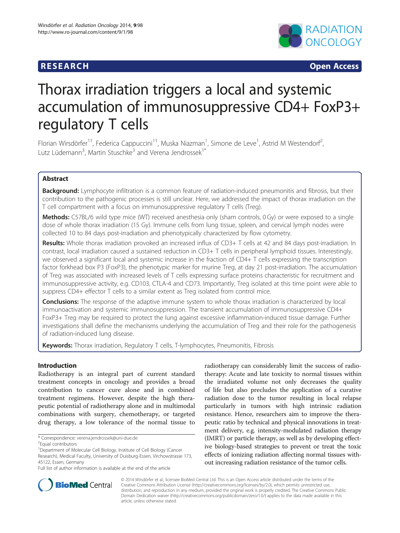



# Thorax irradiation triggers a local and systemic accumulation of immunosuppressive CD4+ FoxP3+ regulatory T cells

Florian Wirsdörfer<sup>1†</sup>, Federica Cappuccini<sup>1†</sup>, Muska Niazman<sup>1</sup>, Simone de Leve<sup>1</sup>, Astrid M Westendorf<sup>2</sup> , Lutz Lüdemann<sup>3</sup>, Martin Stuschke<sup>3</sup> and Verena Jendrossek<sup>1\*</sup>

# Abstract

Background: Lymphocyte infiltration is a common feature of radiation-induced pneumonitis and fibrosis, but their contribution to the pathogenic processes is still unclear. Here, we addressed the impact of thorax irradiation on the T cell compartment with a focus on immunosuppressive regulatory T cells (Treg).

Methods: C57BL/6 wild type mice (WT) received anesthesia only (sham controls, 0 Gy) or were exposed to a single dose of whole thorax irradiation (15 Gy). Immune cells from lung tissue, spleen, and cervical lymph nodes were collected 10 to 84 days post-irradiation and phenotypically characterized by flow cytometry.

Results: Whole thorax irradiation provoked an increased influx of CD3+ T cells at 42 and 84 days post-irradiation. In contrast, local irradiation caused a sustained reduction in CD3+ T cells in peripheral lymphoid tissues. Interestingly, we observed a significant local and systemic increase in the fraction of CD4+ T cells expressing the transcription factor forkhead box P3 (FoxP3), the phenotypic marker for murine Treg, at day 21 post-irradiation. The accumulation of Treg was associated with increased levels of T cells expressing surface proteins characteristic for recruitment and immunosuppressive activity, e.g. CD103, CTLA-4 and CD73. Importantly, Treg isolated at this time point were able to suppress CD4+ effector T cells to a similar extent as Treg isolated from control mice.

**Conclusions:** The response of the adaptive immune system to whole thorax irradiation is characterized by local immunoactivation and systemic immunosuppression. The transient accumulation of immunosuppressive CD4+ FoxP3+ Treg may be required to protect the lung against excessive inflammation-induced tissue damage. Further investigations shall define the mechanisms underlying the accumulation of Treg and their role for the pathogenesis of radiation-induced lung disease.

Keywords: Thorax irradiation, Regulatory T cells, T-lymphocytes, Pneumonitis, Fibrosis

# Introduction

Radiotherapy is an integral part of current standard treatment concepts in oncology and provides a broad contribution to cancer cure alone and in combined treatment regimens. However, despite the high therapeutic potential of radiotherapy alone and in multimodal combinations with surgery, chemotherapy, or targeted drug therapy, a low tolerance of the normal tissue to

radiotherapy can considerably limit the success of radiotherapy: Acute and late toxicity to normal tissues within the irradiated volume not only decreases the quality of life but also precludes the application of a curative radiation dose to the tumor resulting in local relapse particularly in tumors with high intrinsic radiation resistance. Hence, researchers aim to improve the therapeutic ratio by technical and physical innovations in treatment delivery, e.g. intensity-modulated radiation therapy (IMRT) or particle therapy, as well as by developing effective biology-based strategies to prevent or treat the toxic effects of ionizing radiation affecting normal tissues without increasing radiation resistance of the tumor cells.



© 2014 Wirsdörfer et al.; licensee BioMed Central Ltd. This is an Open Access article distributed under the terms of the Creative Commons Attribution License (<http://creativecommons.org/licenses/by/2.0>), which permits unrestricted use, distribution, and reproduction in any medium, provided the original work is properly credited. The Creative Commons Public Domain Dedication waiver [\(http://creativecommons.org/publicdomain/zero/1.0/\)](http://creativecommons.org/publicdomain/zero/1.0/) applies to the data made available in this article, unless otherwise stated.

<sup>\*</sup> Correspondence: [verena.jendrossek@uni-due.de](mailto:verena.jendrossek@uni-due.de) †

<sup>&</sup>lt;sup>+</sup>Equal contributors

<sup>&</sup>lt;sup>1</sup>Department of Molecular Cell Biology, Institute of Cell Biology (Cancer Research), Medical Faculty, University of Duisburg-Essen, Virchowstrasse 173, 45122, Essen, Germany

Full list of author information is available at the end of the article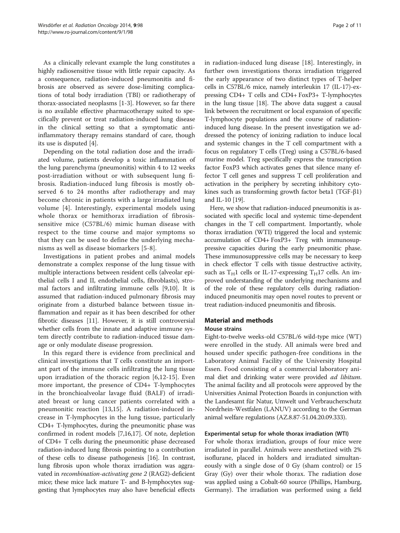As a clinically relevant example the lung constitutes a highly radiosensitive tissue with little repair capacity. As a consequence, radiation-induced pneumonitis and fibrosis are observed as severe dose-limiting complications of total body irradiation (TBI) or radiotherapy of thorax-associated neoplasms [[1](#page-9-0)-[3\]](#page-9-0). However, so far there is no available effective pharmacotherapy suited to specifically prevent or treat radiation-induced lung disease in the clinical setting so that a symptomatic antiinflammatory therapy remains standard of care, though its use is disputed [[4\]](#page-9-0).

Depending on the total radiation dose and the irradiated volume, patients develop a toxic inflammation of the lung parenchyma (pneumonitis) within 4 to 12 weeks post-irradiation without or with subsequent lung fibrosis. Radiation-induced lung fibrosis is mostly observed 6 to 24 months after radiotherapy and may become chronic in patients with a large irradiated lung volume [\[4](#page-9-0)]. Interestingly, experimental models using whole thorax or hemithorax irradiation of fibrosissensitive mice (C57BL/6) mimic human disease with respect to the time course and major symptoms so that they can be used to define the underlying mechanisms as well as disease biomarkers [[5-8\]](#page-9-0).

Investigations in patient probes and animal models demonstrate a complex response of the lung tissue with multiple interactions between resident cells (alveolar epithelial cells I and II, endothelial cells, fibroblasts), stromal factors and infiltrating immune cells [[9,10\]](#page-9-0). It is assumed that radiation-induced pulmonary fibrosis may originate from a disturbed balance between tissue inflammation and repair as it has been described for other fibrotic diseases [\[11\]](#page-10-0). However, it is still controversial whether cells from the innate and adaptive immune system directly contribute to radiation-induced tissue damage or only modulate disease progression.

In this regard there is evidence from preclinical and clinical investigations that T cells constitute an important part of the immune cells infiltrating the lung tissue upon irradiation of the thoracic region [\[6](#page-9-0),[12-15](#page-10-0)]. Even more important, the presence of CD4+ T-lymphocytes in the bronchioalveolar lavage fluid (BALF) of irradiated breast or lung cancer patients correlated with a pneumonitic reaction [[13,15](#page-10-0)]. A radiation-induced increase in T-lymphocytes in the lung tissue, particularly CD4+ T-lymphocytes, during the pneumonitic phase was confirmed in rodent models [[7](#page-9-0)[,16,17\]](#page-10-0). Of note, depletion of CD4+ T cells during the pneumonitic phase decreased radiation-induced lung fibrosis pointing to a contribution of these cells to disease pathogenesis [[16](#page-10-0)]. In contrast, lung fibrosis upon whole thorax irradiation was aggravated in recombination-activating gene 2 (RAG2)-deficient mice; these mice lack mature T- and B-lymphocytes suggesting that lymphocytes may also have beneficial effects

in radiation-induced lung disease [[18](#page-10-0)]. Interestingly, in further own investigations thorax irradiation triggered the early appearance of two distinct types of T-helper cells in C57BL/6 mice, namely interleukin 17 (IL-17)-expressing CD4+ T cells and CD4+ FoxP3+ T-lymphocytes in the lung tissue [\[18\]](#page-10-0). The above data suggest a causal link between the recruitment or local expansion of specific T-lymphocyte populations and the course of radiationinduced lung disease. In the present investigation we addressed the potency of ionizing radiation to induce local and systemic changes in the T cell compartment with a focus on regulatory T cells (Treg) using a C57BL/6-based murine model. Treg specifically express the transcription factor FoxP3 which activates genes that silence many effector T cell genes and suppress T cell proliferation and activation in the periphery by secreting inhibitory cytokines such as transforming growth factor beta1 (TGF-β1) and IL-10 [[19](#page-10-0)].

Here, we show that radiation-induced pneumonitis is associated with specific local and systemic time-dependent changes in the T cell compartment. Importantly, whole thorax irradiation (WTI) triggered the local and systemic accumulation of CD4+ FoxP3+ Treg with immunosuppressive capacities during the early pneumonitic phase. These immunosuppressive cells may be necessary to keep in check effector T cells with tissue destructive activity, such as T<sub>H</sub>1 cells or IL-17-expressing T<sub>H</sub>17 cells. An improved understanding of the underlying mechanisms and of the role of these regulatory cells during radiationinduced pneumonitis may open novel routes to prevent or treat radiation-induced pneumonitis and fibrosis.

# Material and methods Mouse strains

Eight-to-twelve weeks-old C57BL/6 wild-type mice (WT) were enrolled in the study. All animals were bred and housed under specific pathogen-free conditions in the Laboratory Animal Facility of the University Hospital Essen. Food consisting of a commercial laboratory animal diet and drinking water were provided *ad libitum*. The animal facility and all protocols were approved by the Universities Animal Protection Boards in conjunction with the Landesamt für Natur, Umwelt und Verbraucherschutz Nordrhein-Westfalen (LANUV) according to the German animal welfare regulations (AZ.8.87-51.04.20.09.333).

# Experimental setup for whole thorax irradiation (WTI)

For whole thorax irradiation, groups of four mice were irradiated in parallel. Animals were anesthetized with 2% isoflurane, placed in holders and irradiated simultaneously with a single dose of 0 Gy (sham control) or 15 Gray (Gy) over their whole thorax. The radiation dose was applied using a Cobalt-60 source (Phillips, Hamburg, Germany). The irradiation was performed using a field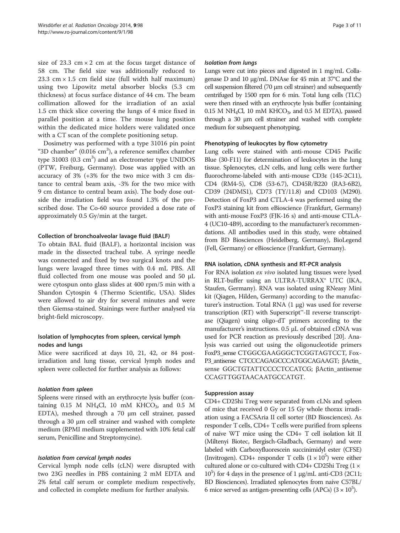size of 23.3 cm  $\times$  2 cm at the focus target distance of 58 cm. The field size was additionally reduced to 23.3 cm  $\times$  1.5 cm field size (full width half maximum) using two Lipowitz metal absorber blocks (5.3 cm thickness) at focus surface distance of 44 cm. The beam collimation allowed for the irradiation of an axial 1.5 cm thick slice covering the lungs of 4 mice fixed in parallel position at a time. The mouse lung position within the dedicated mice holders were validated once with a CT scan of the complete positioning setup.

Dosimetry was performed with a type 31016 pin point "3D chamber" (0.016 cm<sup>3</sup>), a reference semiflex chamber type  $31003$   $(0.3 \text{ cm}^3)$  and an electrometer type UNIDOS (PTW, Freiburg, Germany). Dose was applied with an accuracy of 3% (+3% for the two mice with 3 cm distance to central beam axis, -3% for the two mice with 9 cm distance to central beam axis). The body dose outside the irradiation field was found 1.3% of the prescribed dose. The Co-60 source provided a dose rate of approximately 0.5 Gy/min at the target.

#### Collection of bronchoalveolar lavage fluid (BALF)

To obtain BAL fluid (BALF), a horizontal incision was made in the dissected tracheal tube. A syringe needle was connected and fixed by two surgical knots and the lungs were lavaged three times with 0.4 mL PBS. All fluid collected from one mouse was pooled and 50 μL were cytospun onto glass slides at 400 rpm/5 min with a Shandon Cytospin 4 (Thermo Scientific, USA). Slides were allowed to air dry for several minutes and were then Giemsa-stained. Stainings were further analysed via bright-field microscopy.

## Isolation of lymphocytes from spleen, cervical lymph nodes and lungs

Mice were sacrificed at days 10, 21, 42, or 84 postirradiation and lung tissue, cervical lymph nodes and spleen were collected for further analysis as follows:

## Isolation from spleen

Spleens were rinsed with an erythrocyte lysis buffer (containing  $0.15$  M NH<sub>4</sub>Cl, 10 mM KHCO<sub>3</sub>, and 0.5 M EDTA), meshed through a 70 μm cell strainer, passed through a 30 μm cell strainer and washed with complete medium (RPMI medium supplemented with 10% fetal calf serum, Penicilline and Streptomycine).

## Isolation from cervical lymph nodes

Cervical lymph node cells (cLN) were disrupted with two 23G needles in PBS containing 2 mM EDTA and 2% fetal calf serum or complete medium respectively, and collected in complete medium for further analysis.

#### Isolation from lungs

Lungs were cut into pieces and digested in 1 mg/mL Collagenase D and 10 μg/mL DNAse for 45 min at 37°C and the cell suspension filtered (70 μm cell strainer) and subsequently centrifuged by 1500 rpm for 6 min. Total lung cells (TLC) were then rinsed with an erythrocyte lysis buffer (containing  $0.15$  M NH<sub>4</sub>Cl, 10 mM KHCO<sub>3</sub>, and 0.5 M EDTA), passed through a 30 μm cell strainer and washed with complete medium for subsequent phenotyping.

#### Phenotyping of leukocytes by flow cytometry

Lung cells were stained with anti-mouse CD45 Pacific Blue (30-F11) for determination of leukocytes in the lung tissue. Splenocytes, cLN cells, and lung cells were further fluorochrome-labeled with anti-mouse CD3ε (145-2C11), CD4 (RM4-5), CD8 (53-6.7), CD45R/B220 (RA3-6B2), CD39 (24DMS1), CD73 (TY/11.8) and CD103 (M290). Detection of FoxP3 and CTLA-4 was performed using the FoxP3 staining kit from eBioscience (Frankfurt, Germany) with anti-mouse FoxP3 (FJK-16 s) and anti-mouse CTLA-4 (UC10-4B9), according to the manufacturer's recommendations. All antibodies used in this study, were obtained from BD Biosciences (Heidelberg, Germany), BioLegend (Fell, Germany) or eBioscience (Frankfurt, Germany).

#### RNA isolation, cDNA synthesis and RT-PCR analysis

For RNA isolation ex vivo isolated lung tissues were lysed in RLT-buffer using an ULTRA-TURRAX® UTC (IKA, Staufen, Germany). RNA was isolated using RNeasy Mini kit (Qiagen, Hilden, Germany) according to the manufacturer's instruction. Total RNA  $(1 \mu g)$  was used for reverse transcription (RT) with Superscript™-II reverse transcriptase (Qiagen) using oligo-dT primers according to the manufacturer's instructions. 0.5 μL of obtained cDNA was used for PCR reaction as previously described [\[20\]](#page-10-0). Analysis was carried out using the oligonucleotide primers FoxP3\_sense CTGGCGAAGGGCTCGGTAGTCCT, Fox-P3\_antisense CTCCCAGAGCCCATGGCAGAAGT; βActin\_ sense GGCTGTATTCCCCTCCATCG; βActin\_antisense CCAGTTGGTAACAATGCCATGT.

#### Suppression assay

CD4+ CD25hi Treg were separated from cLNs and spleen of mice that received 0 Gy or 15 Gy whole thorax irradiation using a FACSAria II cell sorter (BD Biosciences). As responder T cells, CD4+ T cells were purified from spleens of naive WT mice using the CD4+ T cell isolation kit II (Miltenyi Biotec, Bergisch-Gladbach, Germany) and were labeled with Carboxyfluorescein succinimidyl ester (CFSE) (Invitrogen). CD4+ responder T cells  $(1 \times 10^5)$  were either cultured alone or co-cultured with CD4+ CD25hi Treg (1 × 105 ) for 4 days in the presence of 1 μg/mL anti-CD3 (2C11; BD Biosciences). Irradiated splenocytes from naive C57BL/ 6 mice served as antigen-presenting cells (APCs)  $(3 \times 10^5)$ .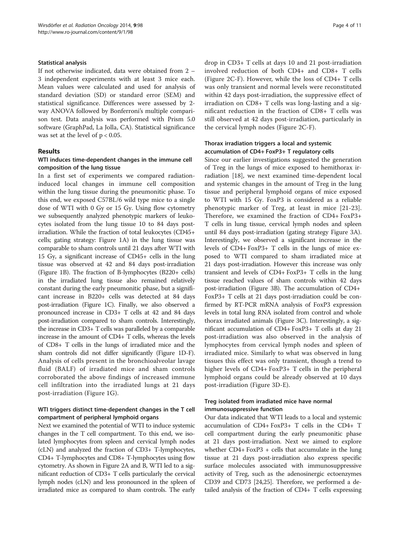#### Statistical analysis

If not otherwise indicated, data were obtained from 2 – 3 independent experiments with at least 3 mice each. Mean values were calculated and used for analysis of standard deviation (SD) or standard error (SEM) and statistical significance. Differences were assessed by 2 way ANOVA followed by Bonferroni's multiple comparison test. Data analysis was performed with Prism 5.0 software (GraphPad, La Jolla, CA). Statistical significance was set at the level of  $p < 0.05$ .

## Results

## WTI induces time-dependent changes in the immune cell composition of the lung tissue

In a first set of experiments we compared radiationinduced local changes in immune cell composition within the lung tissue during the pneumonitic phase. To this end, we exposed C57BL/6 wild type mice to a single dose of WTI with 0 Gy or 15 Gy. Using flow cytometry we subsequently analyzed phenotypic markers of leukocytes isolated from the lung tissue 10 to 84 days postirradiation. While the fraction of total leukocytes (CD45+ cells; gating strategy: Figure [1](#page-4-0)A) in the lung tissue was comparable to sham controls until 21 days after WTI with 15 Gy, a significant increase of CD45+ cells in the lung tissue was observed at 42 and 84 days post-irradiation (Figure [1B](#page-4-0)). The fraction of B-lymphocytes (B220+ cells) in the irradiated lung tissue also remained relatively constant during the early pneumonitic phase, but a significant increase in B220+ cells was detected at 84 days post-irradiation (Figure [1C](#page-4-0)). Finally, we also observed a pronounced increase in CD3+ T cells at 42 and 84 days post-irradiation compared to sham controls. Interestingly, the increase in CD3+ T cells was paralleled by a comparable increase in the amount of CD4+ T cells, whereas the levels of CD8+ T cells in the lungs of irradiated mice and the sham controls did not differ significantly (Figure [1](#page-4-0)D-F). Analysis of cells present in the bronchioalveolar lavage fluid (BALF) of irradiated mice and sham controls corroborated the above findings of increased immune cell infiltration into the irradiated lungs at 21 days post-irradiation (Figure [1G](#page-4-0)).

# WTI triggers distinct time-dependent changes in the T cell compartment of peripheral lymphoid organs

Next we examined the potential of WTI to induce systemic changes in the T cell compartment. To this end, we isolated lymphocytes from spleen and cervical lymph nodes (cLN) and analyzed the fraction of CD3+ T-lymphocytes, CD4+ T-lymphocytes and CD8+ T-lymphocytes using flow cytometry. As shown in Figure [2](#page-5-0)A and B, WTI led to a significant reduction of CD3+ T cells particularly the cervical lymph nodes (cLN) and less pronounced in the spleen of irradiated mice as compared to sham controls. The early drop in CD3+ T cells at days 10 and 21 post-irradiation involved reduction of both CD4+ and CD8+ T cells (Figure [2C](#page-5-0)-F). However, while the loss of CD4+ T cells was only transient and normal levels were reconstituted within 42 days post-irradiation, the suppressive effect of irradiation on CD8+ T cells was long-lasting and a significant reduction in the fraction of CD8+ T cells was still observed at 42 days post-irradiation, particularly in the cervical lymph nodes (Figure [2C](#page-5-0)-F).

# Thorax irradiation triggers a local and systemic accumulation of CD4+ FoxP3+ T regulatory cells

Since our earlier investigations suggested the generation of Treg in the lungs of mice exposed to hemithorax irradiation [[18\]](#page-10-0), we next examined time-dependent local and systemic changes in the amount of Treg in the lung tissue and peripheral lymphoid organs of mice exposed to WTI with 15 Gy. FoxP3 is considered as a reliable phenotypic marker of Treg, at least in mice [\[21-23](#page-10-0)]. Therefore, we examined the fraction of CD4+ FoxP3+ T cells in lung tissue, cervical lymph nodes and spleen until 84 days post-irradiation (gating strategy Figure [3A](#page-6-0)). Interestingly, we observed a significant increase in the levels of CD4+ FoxP3+ T cells in the lungs of mice exposed to WTI compared to sham irradiated mice at 21 days post-irradiation. However this increase was only transient and levels of CD4+ FoxP3+ T cells in the lung tissue reached values of sham controls within 42 days post-irradiation (Figure [3B](#page-6-0)). The accumulation of CD4+ FoxP3+ T cells at 21 days post-irradiation could be confirmed by RT-PCR mRNA analysis of FoxP3 expression levels in total lung RNA isolated from control and whole thorax irradiated animals (Figure [3](#page-6-0)C). Interestingly, a significant accumulation of CD4+ FoxP3+ T cells at day 21 post-irradiation was also observed in the analysis of lymphocytes from cervical lymph nodes and spleen of irradiated mice. Similarly to what was observed in lung tissues this effect was only transient, though a trend to higher levels of CD4+ FoxP3+ T cells in the peripheral lymphoid organs could be already observed at 10 days post-irradiation (Figure [3](#page-6-0)D-E).

# Treg isolated from irradiated mice have normal immunosuppressive function

Our data indicated that WTI leads to a local and systemic accumulation of CD4+ FoxP3+ T cells in the CD4+ T cell compartment during the early pneumonitic phase at 21 days post-irradiation. Next we aimed to explore whether CD4+ FoxP3 + cells that accumulate in the lung tissue at 21 days post-irradiation also express specific surface molecules associated with immunosuppressive activity of Treg, such as the adenosinergic ectoenzymes CD39 and CD73 [[24,25](#page-10-0)]. Therefore, we performed a detailed analysis of the fraction of CD4+ T cells expressing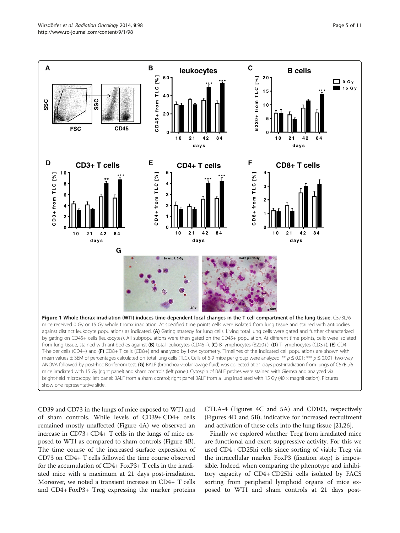<span id="page-4-0"></span>

CD39 and CD73 in the lungs of mice exposed to WTI and of sham controls. While levels of CD39+ CD4+ cells remained mostly unaffected (Figure [4A](#page-7-0)) we observed an increase in CD73+ CD4+ T cells in the lungs of mice exposed to WTI as compared to sham controls (Figure [4B](#page-7-0)). The time course of the increased surface expression of CD73 on CD4+ T cells followed the time course observed for the accumulation of CD4+ FoxP3+ T cells in the irradiated mice with a maximum at 21 days post-irradiation. Moreover, we noted a transient increase in CD4+ T cells and CD4+ FoxP3+ Treg expressing the marker proteins

CTLA-4 (Figures [4C](#page-7-0) and [5](#page-8-0)A) and CD103, respectively (Figures [4](#page-7-0)D and [5B](#page-8-0)), indicative for increased recruitment and activation of these cells into the lung tissue [[21,26\]](#page-10-0).

Finally we explored whether Treg from irradiated mice are functional and exert suppressive activity. For this we used CD4+ CD25hi cells since sorting of viable Treg via the intracellular marker FoxP3 (fixation step) is impossible. Indeed, when comparing the phenotype and inhibitory capacity of CD4+ CD25hi cells isolated by FACS sorting from peripheral lymphoid organs of mice exposed to WTI and sham controls at 21 days post-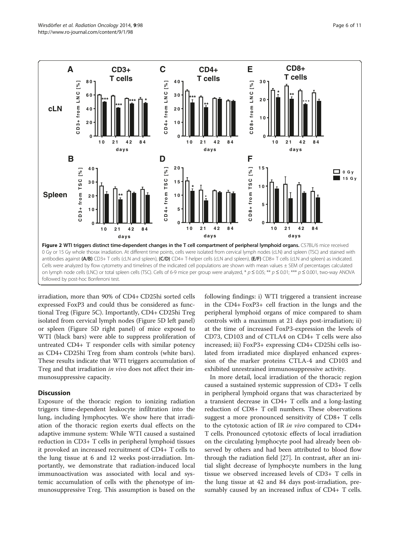<span id="page-5-0"></span>

irradiation, more than 90% of CD4+ CD25hi sorted cells expressed FoxP3 and could thus be considered as functional Treg (Figure [5C](#page-8-0)). Importantly, CD4+ CD25hi Treg isolated from cervical lymph nodes (Figure [5D](#page-8-0) left panel) or spleen (Figure [5](#page-8-0)D right panel) of mice exposed to WTI (black bars) were able to suppress proliferation of untreated CD4+ T responder cells with similar potency as CD4+ CD25hi Treg from sham controls (white bars). These results indicate that WTI triggers accumulation of Treg and that irradiation in vivo does not affect their immunosuppressive capacity.

## **Discussion**

Exposure of the thoracic region to ionizing radiation triggers time-dependent leukocyte infiltration into the lung, including lymphocytes. We show here that irradiation of the thoracic region exerts dual effects on the adaptive immune system: While WTI caused a sustained reduction in CD3+ T cells in peripheral lymphoid tissues it provoked an increased recruitment of CD4+ T cells to the lung tissue at 6 and 12 weeks post-irradiation. Importantly, we demonstrate that radiation-induced local immunoactivation was associated with local and systemic accumulation of cells with the phenotype of immunosuppressive Treg. This assumption is based on the

following findings: i) WTI triggered a transient increase in the CD4+ FoxP3+ cell fraction in the lungs and the peripheral lymphoid organs of mice compared to sham controls with a maximum at 21 days post-irradiation; ii) at the time of increased FoxP3-expression the levels of CD73, CD103 and of CTLA4 on CD4+ T cells were also increased; iii) FoxP3+ expressing CD4+ CD25hi cells isolated from irradiated mice displayed enhanced expression of the marker proteins CTLA-4 and CD103 and exhibited unrestrained immunosuppressive activity.

In more detail, local irradiation of the thoracic region caused a sustained systemic suppression of CD3+ T cells in peripheral lymphoid organs that was characterized by a transient decrease in CD4+ T cells and a long-lasting reduction of CD8+ T cell numbers. These observations suggest a more pronounced sensitivity of CD8+ T cells to the cytotoxic action of IR in vivo compared to CD4+ T cells. Pronounced cytotoxic effects of local irradiation on the circulating lymphocyte pool had already been observed by others and had been attributed to blood flow through the radiation field [[27](#page-10-0)]. In contrast, after an initial slight decrease of lymphocyte numbers in the lung tissue we observed increased levels of CD3+ T cells in the lung tissue at 42 and 84 days post-irradiation, presumably caused by an increased influx of CD4+ T cells.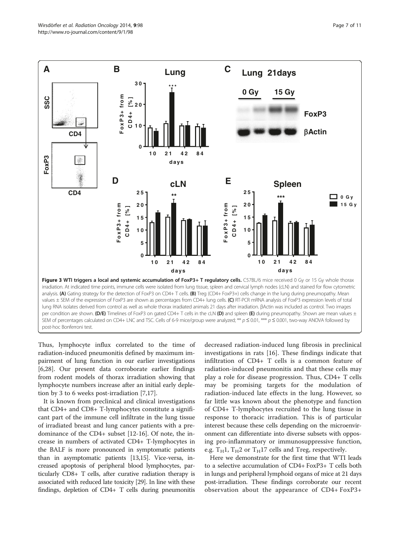<span id="page-6-0"></span>

Thus, lymphocyte influx correlated to the time of radiation-induced pneumonitis defined by maximum impairment of lung function in our earlier investigations [[6,](#page-9-0)[28\]](#page-10-0). Our present data corroborate earlier findings from rodent models of thorax irradiation showing that lymphocyte numbers increase after an initial early depletion by 3 to 6 weeks post-irradiation [\[7](#page-9-0)[,17](#page-10-0)].

It is known from preclinical and clinical investigations that CD4+ and CD8+ T-lymphocytes constitute a significant part of the immune cell infiltrate in the lung tissue of irradiated breast and lung cancer patients with a predominance of the CD4+ subset [\[12-16](#page-10-0)]. Of note, the increase in numbers of activated CD4+ T-lymphocytes in the BALF is more pronounced in symptomatic patients than in asymptomatic patients [\[13,15](#page-10-0)]. Vice-versa, increased apoptosis of peripheral blood lymphocytes, particularly CD8+ T cells, after curative radiation therapy is associated with reduced late toxicity [[29](#page-10-0)]. In line with these findings, depletion of CD4+ T cells during pneumonitis

decreased radiation-induced lung fibrosis in preclinical investigations in rats [\[16](#page-10-0)]. These findings indicate that infiltration of CD4+ T cells is a common feature of radiation-induced pneumonitis and that these cells may play a role for disease progression. Thus, CD4+ T cells may be promising targets for the modulation of radiation-induced late effects in the lung. However, so far little was known about the phenotype and function of CD4+ T-lymphocytes recruited to the lung tissue in response to thoracic irradiation. This is of particular interest because these cells depending on the microenvironment can differentiate into diverse subsets with opposing pro-inflammatory or immunosuppressive function, e.g.  $T_H1$ ,  $T_H2$  or  $T_H17$  cells and Treg, respectively.

Here we demonstrate for the first time that WTI leads to a selective accumulation of CD4+ FoxP3+ T cells both in lungs and peripheral lymphoid organs of mice at 21 days post-irradiation. These findings corroborate our recent observation about the appearance of CD4+ FoxP3+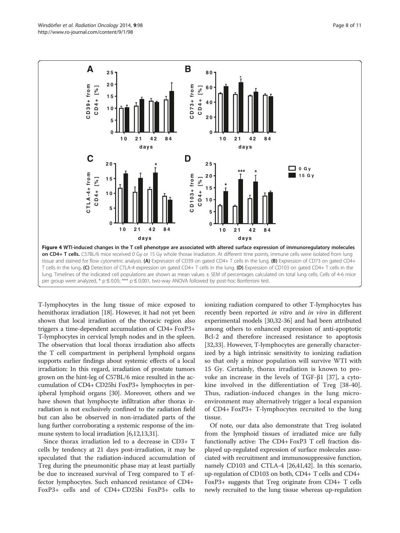<span id="page-7-0"></span>

T-lymphocytes in the lung tissue of mice exposed to hemithorax irradiation [\[18\]](#page-10-0). However, it had not yet been shown that local irradiation of the thoracic region also triggers a time-dependent accumulation of CD4+ FoxP3+ T-lymphocytes in cervical lymph nodes and in the spleen. The observation that local thorax irradiation also affects the T cell compartment in peripheral lymphoid organs supports earlier findings about systemic effects of a local irradiation: In this regard, irradiation of prostate tumors grown on the hint-leg of C57BL/6 mice resulted in the accumulation of CD4+ CD25hi FoxP3+ lymphocytes in peripheral lymphoid organs [[30](#page-10-0)]. Moreover, others and we have shown that lymphocyte infiltration after thorax irradiation is not exclusively confined to the radiation field but can also be observed in non-irradiated parts of the lung further corroborating a systemic response of the immune system to local irradiation [[6](#page-9-0)[,12,13,31](#page-10-0)].

Since thorax irradiation led to a decrease in CD3+ T cells by tendency at 21 days post-irradiation, it may be speculated that the radiation-induced accumulation of Treg during the pneumonitic phase may at least partially be due to increased survival of Treg compared to T effector lymphocytes. Such enhanced resistance of CD4+ FoxP3+ cells and of CD4+ CD25hi FoxP3+ cells to ionizing radiation compared to other T-lymphocytes has recently been reported in vitro and in vivo in different experimental models [\[30,32-36](#page-10-0)] and had been attributed among others to enhanced expression of anti-apoptotic Bcl-2 and therefore increased resistance to apoptosis [[32,33\]](#page-10-0). However, T-lymphocytes are generally characterized by a high intrinsic sensitivity to ionizing radiation so that only a minor population will survive WTI with 15 Gy. Certainly, thorax irradiation is known to provoke an increase in the levels of TGF-β1 [\[37](#page-10-0)], a cytokine involved in the differentiation of Treg [\[38-40](#page-10-0)]. Thus, radiation-induced changes in the lung microenvironment may alternatively trigger a local expansion of CD4+ FoxP3+ T-lymphocytes recruited to the lung tissue.

Of note, our data also demonstrate that Treg isolated from the lymphoid tissues of irradiated mice are fully functionally active: The CD4+ FoxP3 T cell fraction displayed up-regulated expression of surface molecules associated with recruitment and immunosuppressive function, namely CD103 and CTLA-4 [\[26,41,42](#page-10-0)]. In this scenario, up-regulation of CD103 on both, CD4+ T cells and CD4+ FoxP3+ suggests that Treg originate from CD4+ T cells newly recruited to the lung tissue whereas up-regulation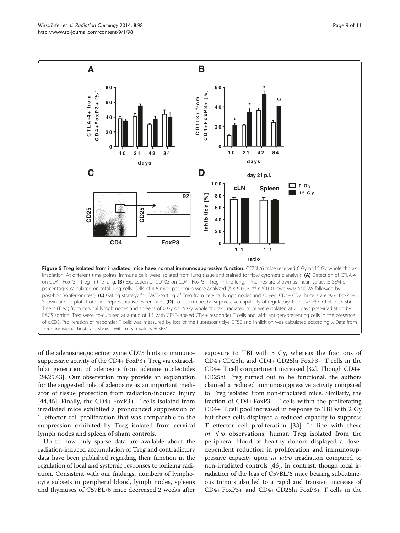<span id="page-8-0"></span>

of the adenosinergic ectoenzyme CD73 hints to immunosuppressive activity of the CD4+ FoxP3+ Treg via extracellular generation of adenosine from adenine nucleotides [[24,25,43\]](#page-10-0). Our observation may provide an explanation for the suggested role of adenosine as an important mediator of tissue protection from radiation-induced injury [[44,45](#page-10-0)]. Finally, the CD4+ FoxP3+ T cells isolated from irradiated mice exhibited a pronounced suppression of T effector cell proliferation that was comparable to the suppression exhibited by Treg isolated from cervical lymph nodes and spleen of sham controls.

Up to now only sparse data are available about the radiation-induced accumulation of Treg and contradictory data have been published regarding their function in the regulation of local and systemic responses to ionizing radiation. Consistent with our findings, numbers of lymphocyte subsets in peripheral blood, lymph nodes, spleens and thymuses of C57BL/6 mice decreased 2 weeks after

exposure to TBI with 5 Gy, whereas the fractions of CD4+ CD25hi and CD4+ CD25hi FoxP3+ T cells in the CD4+ T cell compartment increased [\[32](#page-10-0)]. Though CD4+ CD25hi Treg turned out to be functional, the authors claimed a reduced immunosuppressive activity compared to Treg isolated from non-irradiated mice. Similarly, the fraction of CD4+ FoxP3+ T cells within the proliferating CD4+ T cell pool increased in response to TBI with 2 Gy but these cells displayed a reduced capacity to suppress T effector cell proliferation [[33\]](#page-10-0). In line with these in vivo observations, human Treg isolated from the peripheral blood of healthy donors displayed a dosedependent reduction in proliferation and immunosuppressive capacity upon *in vitro* irradiation compared to non-irradiated controls [\[46](#page-10-0)]. In contrast, though local irradiation of the legs of C57BL/6 mice bearing subcutaneous tumors also led to a rapid and transient increase of CD4+ FoxP3+ and CD4+ CD25hi FoxP3+ T cells in the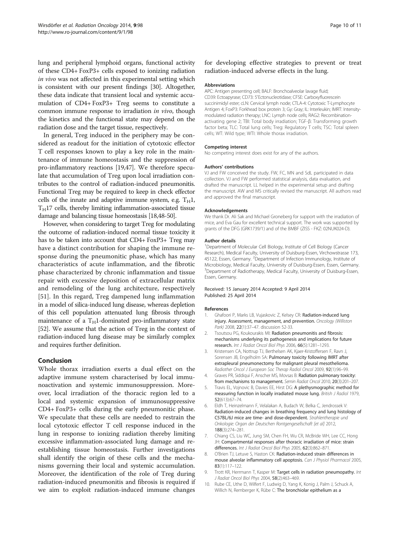<span id="page-9-0"></span>lung and peripheral lymphoid organs, functional activity of these CD4+ FoxP3+ cells exposed to ionizing radiation in vivo was not affected in this experimental setting which is consistent with our present findings [\[30\]](#page-10-0). Altogether, these data indicate that transient local and systemic accumulation of CD4+ FoxP3+ Treg seems to constitute a common immune response to irradiation in vivo, though the kinetics and the functional state may depend on the radiation dose and the target tissue, respectively.

In general, Treg induced in the periphery may be considered as readout for the initiation of cytotoxic effector T cell responses known to play a key role in the maintenance of immune homeostasis and the suppression of pro-inflammatory reactions [\[19,47](#page-10-0)]. We therefore speculate that accumulation of Treg upon local irradiation contributes to the control of radiation-induced pneumonitis. Functional Treg may be required to keep in check effector cells of the innate and adaptive immune system, e.g.  $T_H1$ ,  $T_H$ 17 cells, thereby limiting inflammation-associated tissue damage and balancing tissue homeostasis [\[18,48-50\]](#page-10-0).

However, when considering to target Treg for modulating the outcome of radiation-induced normal tissue toxicity it has to be taken into account that CD4+ FoxP3+ Treg may have a distinct contribution for shaping the immune response during the pneumonitic phase, which has many characteristics of acute inflammation, and the fibrotic phase characterized by chronic inflammation and tissue repair with excessive deposition of extracellular matrix and remodeling of the lung architecture, respectively [[51\]](#page-10-0). In this regard, Treg dampened lung inflammation in a model of silica-induced lung disease, whereas depletion of this cell population attenuated lung fibrosis through maintenance of a  $T_H1$ -dominated pro-inflammatory state [[52](#page-10-0)]. We assume that the action of Treg in the context of radiation-induced lung disease may be similarly complex and requires further definition.

## Conclusion

Whole thorax irradiation exerts a dual effect on the adaptive immune system characterised by local immunoactivation and systemic immunosuppression. Moreover, local irradiation of the thoracic region led to a local and systemic expansion of immunosuppressive CD4+ FoxP3+ cells during the early pneumonitic phase. We speculate that these cells are needed to restrain the local cytotoxic effector T cell response induced in the lung in response to ionizing radiation thereby limiting excessive inflammation-associated lung damage and reestablishing tissue homeostasis. Further investigations shall identify the origin of these cells and the mechanisms governing their local and systemic accumulation. Moreover, the identification of the role of Treg during radiation-induced pneumonitis and fibrosis is required if we aim to exploit radiation-induced immune changes

for developing effective strategies to prevent or treat radiation-induced adverse effects in the lung.

#### Abbreviations

APC: Antigen presenting cell; BALF: Bronchoalveolar lavage fluid; CD39: Ectoapyrase; CD73: 5′Ectonucleotidase; CFSE: Carboxyfluorescein succinimidyl ester; cLN: Cervical lymph node; CTLA-4: Cytotoxic T-Lymphocyte Antigen 4; FoxP3: Forkhead box protein 3; Gy: Gray; IL: Interleukin; IMRT: Intensitymodulated radiation therapy; LNC: Lymph node cells; RAG2: Recombinationactivating gene 2; TBI: Total body irradiation; TGF-β: Transforming growth factor beta; TLC: Total lung cells; Treg: Regulatory T cells; TSC: Total spleen cells; WT: Wild type; WTI: Whole thorax irradiation.

#### Competing interest

No competing interest does exist for any of the authors.

#### Authors' contributions

VJ and FW conceived the study. FW, FC, MN and SdL participated in data collection. VJ and FW performed statistical analysis, data evaluation, and drafted the manuscript. LL helped in the experimental setup and drafting the manuscript. AW and MS critically revised the manuscript. All authors read and approved the final manuscript.

#### Acknowledgements

We thank Dr. Ali Sak and Michael Groneberg for support with the irradiation of mice, and Eva Gau for excellent technical support. The work was supported by grants of the DFG (GRK1739/1) and of the BMBF (ZISS - FKZ: 02NUK024-D).

#### Author details

<sup>1</sup>Department of Molecular Cell Biology, Institute of Cell Biology (Cancer Research), Medical Faculty, University of Duisburg-Essen, Virchowstrasse 173, 45122, Essen, Germany. <sup>2</sup> Department of Infection Immunology, Institute of Microbiology, Medical Faculty, University of Duisburg-Essen, Essen, Germany. <sup>3</sup>Department of Radiotherapy, Medical Faculty, University of Duisburg-Essen, Essen, Germany.

#### Received: 15 January 2014 Accepted: 9 April 2014 Published: 25 April 2014

#### References

- 1. Ghafoori P, Marks LB, Vujaskovic Z, Kelsey CR: Radiation-induced lung injury. Assessment, management, and prevention. Oncology (Williston Park) 2008, 22(1):37–47. discussion 52-33.
- 2. Tsoutsou PG, Koukourakis MI: Radiation pneumonitis and fibrosis: mechanisms underlying its pathogenesis and implications for future research. Int J Radiat Oncol Biol Phys 2006, 66(5):1281–1293.
- 3. Kristensen CA, Nottrup TJ, Berthelsen AK, Kjaer-Kristoffersen F, Ravn J, Sorensen JB, Engelholm SA: Pulmonary toxicity following IMRT after extrapleural pneumonectomy for malignant pleural mesothelioma. Radiother Oncol J European Soc Therap Radiol Oncol 2009, 92(1):96–99.
- 4. Graves PR, Siddiqui F, Anscher MS, Movsas B: Radiation pulmonary toxicity: from mechanisms to management. Semin Radiat Oncol 2010, 20(3):201–207.
- 5. Travis EL, Vojnovic B, Davies EE, Hirst DG: A plethysmographic method for measuring function in locally irradiated mouse lung. British J Radiol 1979, 52(613):67–74.
- 6. Eldh T, Heinzelmann F, Velalakan A, Budach W, Belka C, Jendrossek V: Radiation-induced changes in breathing frequency and lung histology of C57BL/6J mice are time- and dose-dependent. Strahlentherapie und Onkologie: Organ der Deutschen Rontgengesellschaft [et al] 2012, 188(3):274–281.
- 7. Chiang CS, Liu WC, Jung SM, Chen FH, Wu CR, McBride WH, Lee CC, Hong JH: Compartmental responses after thoracic irradiation of mice: strain differences. Int J Radiat Oncol Biol Phys 2005, 62(3):862-871.
- 8. O'Brien TJ, Letuve S, Haston CK: Radiation-induced strain differences in mouse alveolar inflammatory cell apoptosis. Can J Physiol Pharmacol 2005, 83(1):117–122.
- 9. Trott KR, Herrmann T, Kasper M: Target cells in radiation pneumopathy. Int J Radiat Oncol Biol Phys 2004, 58(2):463–469.
- 10. Rube CE, Uthe D, Wilfert F, Ludwig D, Yang K, Konig J, Palm J, Schuck A, Willich N, Remberger K, Rübe C: The bronchiolar epithelium as a